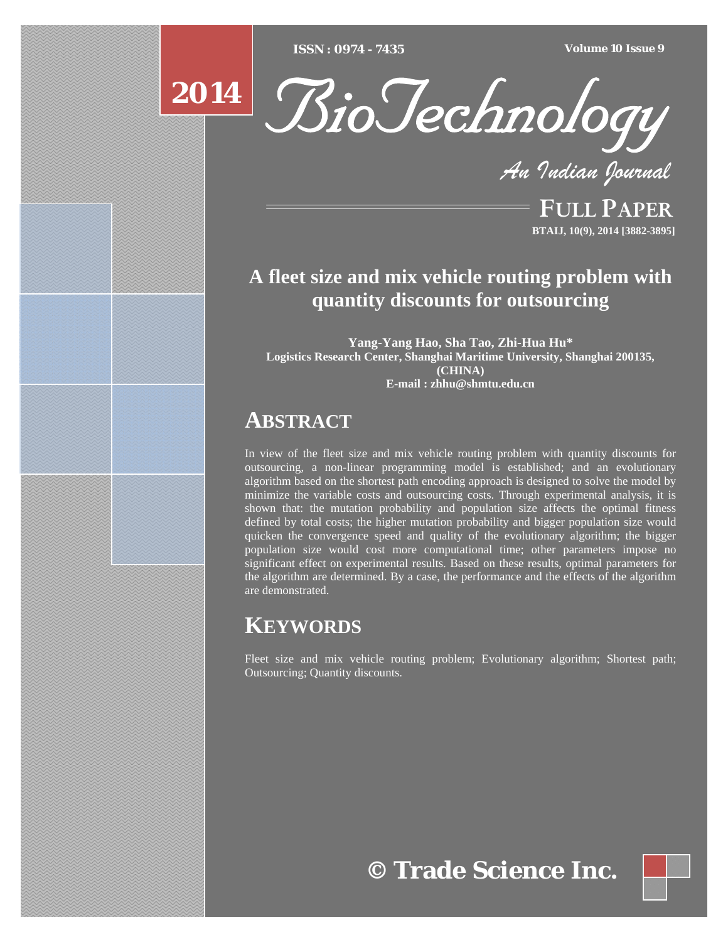[Type text] [Type text] [Type text] *ISSN : 0974 - 7435 Volume 10 Issue 9*

# **2014**



*An Indian Journal*

FULL PAPER **BTAIJ, 10(9), 2014 [3882-3895]**

# **A fleet size and mix vehicle routing problem with quantity discounts for outsourcing**

**Yang-Yang Hao, Sha Tao, Zhi-Hua Hu\* Logistics Research Center, Shanghai Maritime University, Shanghai 200135, (CHINA) E-mail : zhhu@shmtu.edu.cn**

# **ABSTRACT**

In view of the fleet size and mix vehicle routing problem with quantity discounts for outsourcing, a non-linear programming model is established; and an evolutionary algorithm based on the shortest path encoding approach is designed to solve the model by minimize the variable costs and outsourcing costs. Through experimental analysis, it is shown that: the mutation probability and population size affects the optimal fitness defined by total costs; the higher mutation probability and bigger population size would quicken the convergence speed and quality of the evolutionary algorithm; the bigger population size would cost more computational time; other parameters impose no significant effect on experimental results. Based on these results, optimal parameters for the algorithm are determined. By a case, the performance and the effects of the algorithm are demonstrated.

# **KEYWORDS**

Fleet size and mix vehicle routing problem; Evolutionary algorithm; Shortest path; Outsourcing; Quantity discounts.

# **© Trade Science Inc.**

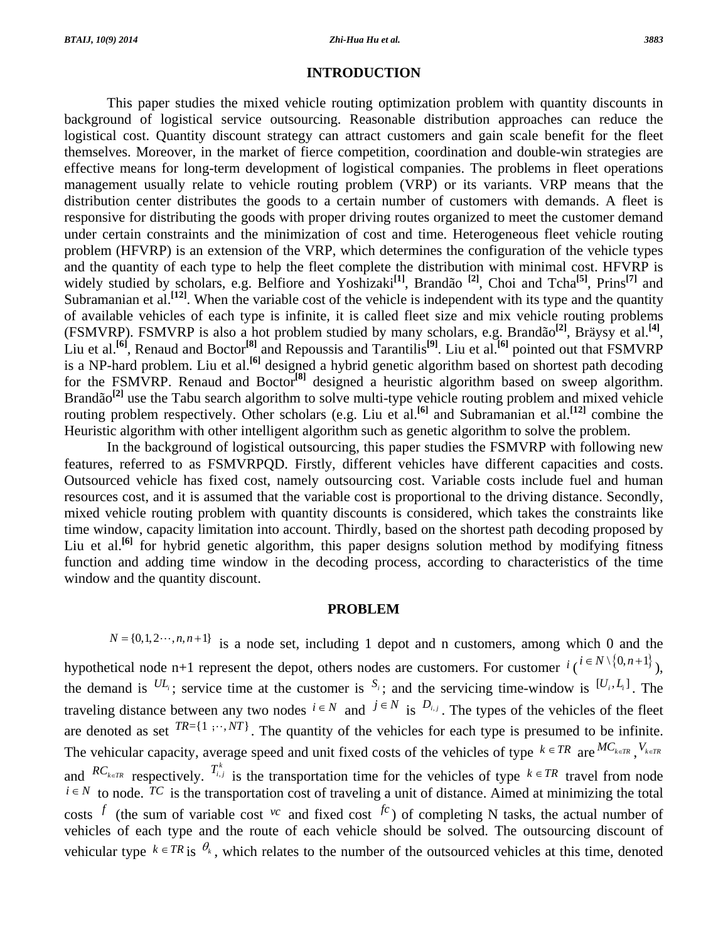#### **INTRODUCTION**

 This paper studies the mixed vehicle routing optimization problem with quantity discounts in background of logistical service outsourcing. Reasonable distribution approaches can reduce the logistical cost. Quantity discount strategy can attract customers and gain scale benefit for the fleet themselves. Moreover, in the market of fierce competition, coordination and double-win strategies are effective means for long-term development of logistical companies. The problems in fleet operations management usually relate to vehicle routing problem (VRP) or its variants. VRP means that the distribution center distributes the goods to a certain number of customers with demands. A fleet is responsive for distributing the goods with proper driving routes organized to meet the customer demand under certain constraints and the minimization of cost and time. Heterogeneous fleet vehicle routing problem (HFVRP) is an extension of the VRP, which determines the configuration of the vehicle types and the quantity of each type to help the fleet complete the distribution with minimal cost. HFVRP is widely studied by scholars, e.g. Belfiore and Yoshizaki<sup>[1]</sup>, Brandão <sup>[2]</sup>, Choi and Tcha<sup>[5]</sup>, Prins<sup>[7]</sup> and Subramanian et al.**[12]**. When the variable cost of the vehicle is independent with its type and the quantity of available vehicles of each type is infinite, it is called fleet size and mix vehicle routing problems (FSMVRP). FSMVRP is also a hot problem studied by many scholars, e.g. Brandão**[2]**, Bräysy et al.**[4]**, Liu et al.**[6]**, Renaud and Boctor**[8]** and Repoussis and Tarantilis**[9]**. Liu et al.**[6]** pointed out that FSMVRP is a NP-hard problem. Liu et al.**[6]** designed a hybrid genetic algorithm based on shortest path decoding for the FSMVRP. Renaud and Boctor**[8]** designed a heuristic algorithm based on sweep algorithm. Brandão<sup>[2]</sup> use the Tabu search algorithm to solve multi-type vehicle routing problem and mixed vehicle routing problem respectively. Other scholars (e.g. Liu et al.**[6]** and Subramanian et al.**[12]** combine the Heuristic algorithm with other intelligent algorithm such as genetic algorithm to solve the problem.

 In the background of logistical outsourcing, this paper studies the FSMVRP with following new features, referred to as FSMVRPQD. Firstly, different vehicles have different capacities and costs. Outsourced vehicle has fixed cost, namely outsourcing cost. Variable costs include fuel and human resources cost, and it is assumed that the variable cost is proportional to the driving distance. Secondly, mixed vehicle routing problem with quantity discounts is considered, which takes the constraints like time window, capacity limitation into account. Thirdly, based on the shortest path decoding proposed by Liu et al.<sup>[6]</sup> for hybrid genetic algorithm, this paper designs solution method by modifying fitness function and adding time window in the decoding process, according to characteristics of the time window and the quantity discount.

### **PROBLEM**

 $N = \{0, 1, 2, \dots, n, n+1\}$  is a node set, including 1 depot and n customers, among which 0 and the hypothetical node n+1 represent the depot, others nodes are customers. For customer  $i \ (i \in N \setminus \{0, n+1\})$ , the demand is  $^{UL_i}$ ; service time at the customer is  $^{S_i}$ ; and the servicing time-window is  $^{[U_i, L_i]}$ . The traveling distance between any two nodes  $i \in N$  and  $j \in N$  is  $D_{i,j}$ . The types of the vehicles of the fleet are denoted as set  $TR = \{1, \dots, NT\}$ . The quantity of the vehicles for each type is presumed to be infinite. The vehicular capacity, average speed and unit fixed costs of the vehicles of type  $k \in TR$  are  ${}^{MC}$ <sub>k $\in TR$ </sub>,  $V$ <sub>k $\in TR$ </sub> and  $RC_{k\in TR}$  respectively.  $T_{i,j}^k$  is the transportation time for the vehicles of type  $k \in TR$  travel from node  $i \in N$  to node. TC is the transportation cost of traveling a unit of distance. Aimed at minimizing the total costs <sup>f</sup> (the sum of variable cost <sup>*vc*</sup> and fixed cost <sup>fc</sup>) of completing N tasks, the actual number of vehicles of each type and the route of each vehicle should be solved. The outsourcing discount of vehicular type  $k \in TR$  is  $\theta_k$ , which relates to the number of the outsourced vehicles at this time, denoted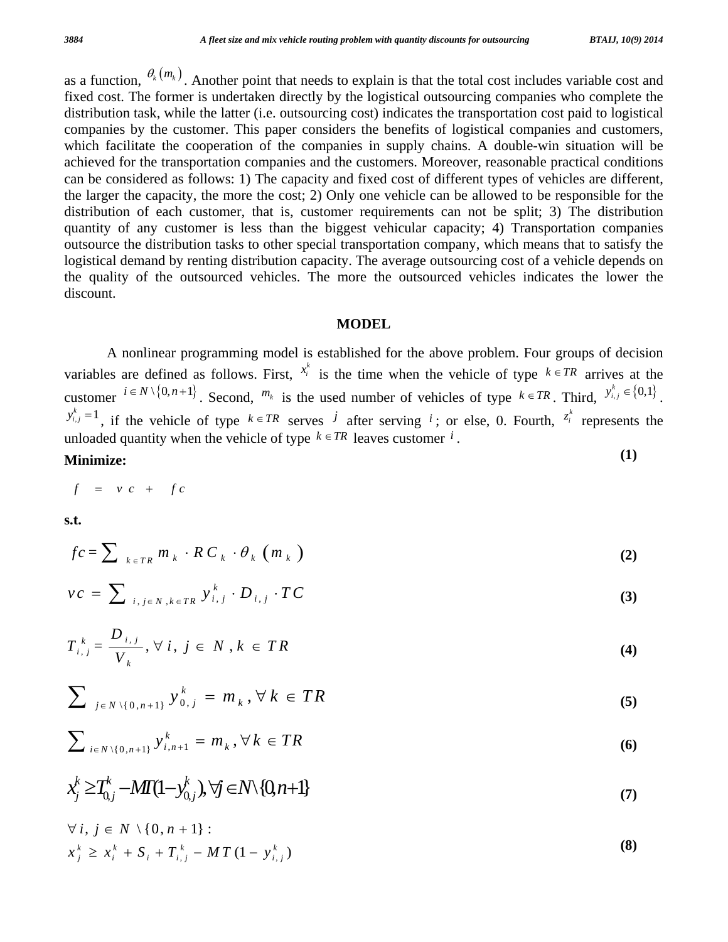as a function,  $\theta_k(m_k)$ . Another point that needs to explain is that the total cost includes variable cost and fixed cost. The former is undertaken directly by the logistical outsourcing companies who complete the distribution task, while the latter (i.e. outsourcing cost) indicates the transportation cost paid to logistical companies by the customer. This paper considers the benefits of logistical companies and customers, which facilitate the cooperation of the companies in supply chains. A double-win situation will be achieved for the transportation companies and the customers. Moreover, reasonable practical conditions can be considered as follows: 1) The capacity and fixed cost of different types of vehicles are different, the larger the capacity, the more the cost; 2) Only one vehicle can be allowed to be responsible for the distribution of each customer, that is, customer requirements can not be split; 3) The distribution quantity of any customer is less than the biggest vehicular capacity; 4) Transportation companies outsource the distribution tasks to other special transportation company, which means that to satisfy the logistical demand by renting distribution capacity. The average outsourcing cost of a vehicle depends on the quality of the outsourced vehicles. The more the outsourced vehicles indicates the lower the discount.

## **MODEL**

 A nonlinear programming model is established for the above problem. Four groups of decision variables are defined as follows. First,  $x_i^k$  is the time when the vehicle of type  $k \in TR$  arrives at the customer  $i \in N \setminus \{0, n+1\}$ . Second,  $m_k$  is the used number of vehicles of type  $k \in TR$ . Third,  $y_{i,j}^k \in \{0,1\}$ .  $y_{i,j}^{k} = 1$ , if the vehicle of type  $k \in TR$  serves *j* after serving *i*; or else, 0. Fourth,  $z_i^k$  represents the unloaded quantity when the vehicle of type  $k \in TR$  leaves customer *i*. **Minimize: (1)** 

$$
f = v c + f c
$$

**s.t.**

$$
fc = \sum_{k \in TR} m_k \cdot RC_k \cdot \theta_k \left( m_k \right) \tag{2}
$$

$$
vc = \sum_{i,j \in N, k \in TR} y_{i,j}^k \cdot D_{i,j} \cdot TC
$$
 (3)

$$
T_{i,j}^{k} = \frac{D_{i,j}}{V_k}, \forall i, j \in N, k \in TR
$$
 (4)

$$
\sum_{j \in N \setminus \{0, n+1\}} y_{0,j}^k = m_k, \forall k \in TR
$$
 (5)

$$
\sum_{i \in N \setminus \{0, n+1\}} y_{i, n+1}^k = m_k, \forall k \in TR
$$
 (6)

$$
x_j^k \geq T_{0,j}^k - MT(1 - y_{0,j}^k), \forall j \in N \setminus \{0, n+1\}
$$
\n
$$
(7)
$$

$$
\forall i, j \in N \setminus \{0, n+1\} : x_j^k \ge x_i^k + S_i + T_{i,j}^k - MT(1 - y_{i,j}^k)
$$
 (8)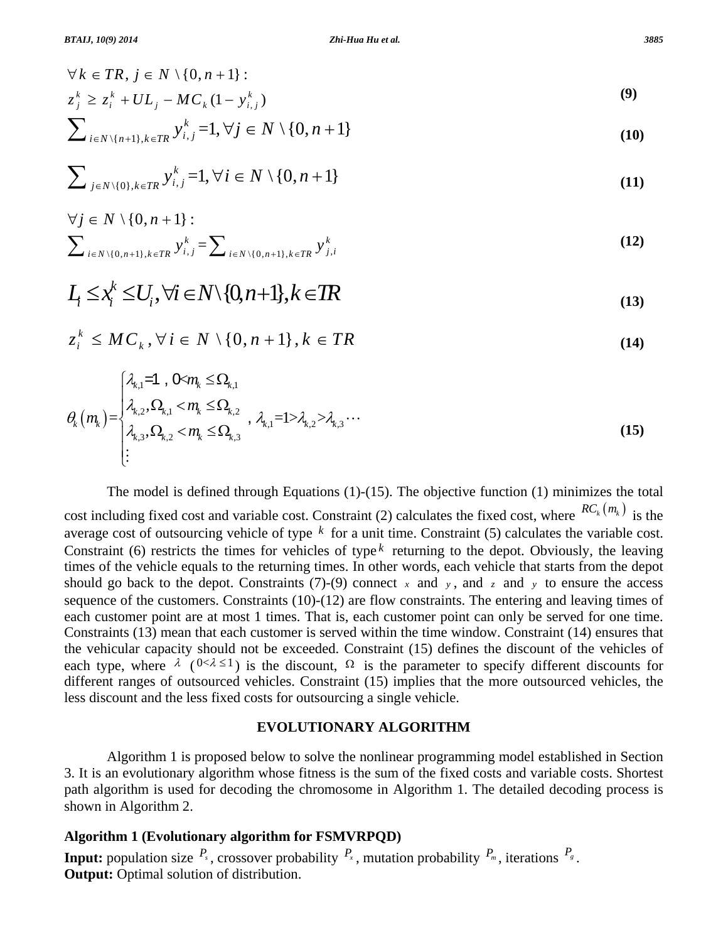$$
\forall k \in TR, j \in N \setminus \{0, n+1\}:
$$
  
\n
$$
z_j^k \ge z_i^k + UL_j - MC_k(1 - y_{i,j}^k)
$$
\n(9)

$$
\sum_{i\in N\setminus\{n+1\},k\in TR} y_{i,j}^k = 1, \forall j\in N\setminus\{0,n+1\}
$$
\n
$$
(10)
$$

$$
\sum_{j \in N \setminus \{0\}, k \in TR} y_{i,j}^k = 1, \forall i \in N \setminus \{0, n+1\}
$$
\n
$$
(11)
$$

$$
\forall j \in N \setminus \{0, n+1\} : \sum_{i \in N \setminus \{0, n+1\}, k \in TR} y_{i,j}^k = \sum_{i \in N \setminus \{0, n+1\}, k \in TR} y_{j,i}^k
$$
\n(12)

$$
L_i \leq x_i^k \leq U_i, \forall i \in N \setminus \{0, n+1\}, k \in \mathbb{TR}
$$
\n<sup>(13)</sup>

$$
z_i^k \leq MC_k, \forall i \in N \setminus \{0, n+1\}, k \in TR
$$
\n(14)

$$
\theta_{k}(m_{k}) = \begin{cases} \n\lambda_{k,1} = 1, & 0 < m_{k} \leq \Omega_{k,1} \\ \n\lambda_{k,2}, & \Omega_{k,1} < m_{k} \leq \Omega_{k,2} \\ \n\lambda_{k,3}, & \Omega_{k,2} < m_{k} \leq \Omega_{k,3} \n\end{cases}, \quad \lambda_{k,1} = 1 > \lambda_{k,2} > \lambda_{k,3} \cdots \tag{15}
$$

 The model is defined through Equations (1)-(15). The objective function (1) minimizes the total cost including fixed cost and variable cost. Constraint (2) calculates the fixed cost, where  ${}^{RC_k(m_k)}$  is the average cost of outsourcing vehicle of type *k* for a unit time. Constraint (5) calculates the variable cost. Constraint (6) restricts the times for vehicles of type  $k$  returning to the depot. Obviously, the leaving times of the vehicle equals to the returning times. In other words, each vehicle that starts from the depot should go back to the depot. Constraints (7)-(9) connect  $\bar{x}$  and  $\bar{y}$ , and  $\bar{z}$  and  $\bar{y}$  to ensure the access sequence of the customers. Constraints  $(10)-(12)$  are flow constraints. The entering and leaving times of each customer point are at most 1 times. That is, each customer point can only be served for one time. Constraints (13) mean that each customer is served within the time window. Constraint (14) ensures that the vehicular capacity should not be exceeded. Constraint (15) defines the discount of the vehicles of each type, where  $\lambda$  ( $0 < \lambda \le 1$ ) is the discount,  $\Omega$  is the parameter to specify different discounts for different ranges of outsourced vehicles. Constraint (15) implies that the more outsourced vehicles, the less discount and the less fixed costs for outsourcing a single vehicle.

### **EVOLUTIONARY ALGORITHM**

 Algorithm 1 is proposed below to solve the nonlinear programming model established in Section 3. It is an evolutionary algorithm whose fitness is the sum of the fixed costs and variable costs. Shortest path algorithm is used for decoding the chromosome in Algorithm 1. The detailed decoding process is shown in Algorithm 2.

### **Algorithm 1 (Evolutionary algorithm for FSMVRPQD)**

**Input:** population size  $P_s$ , crossover probability  $P_x$ , mutation probability  $P_m$ , iterations  $P_s$ . **Output:** Optimal solution of distribution.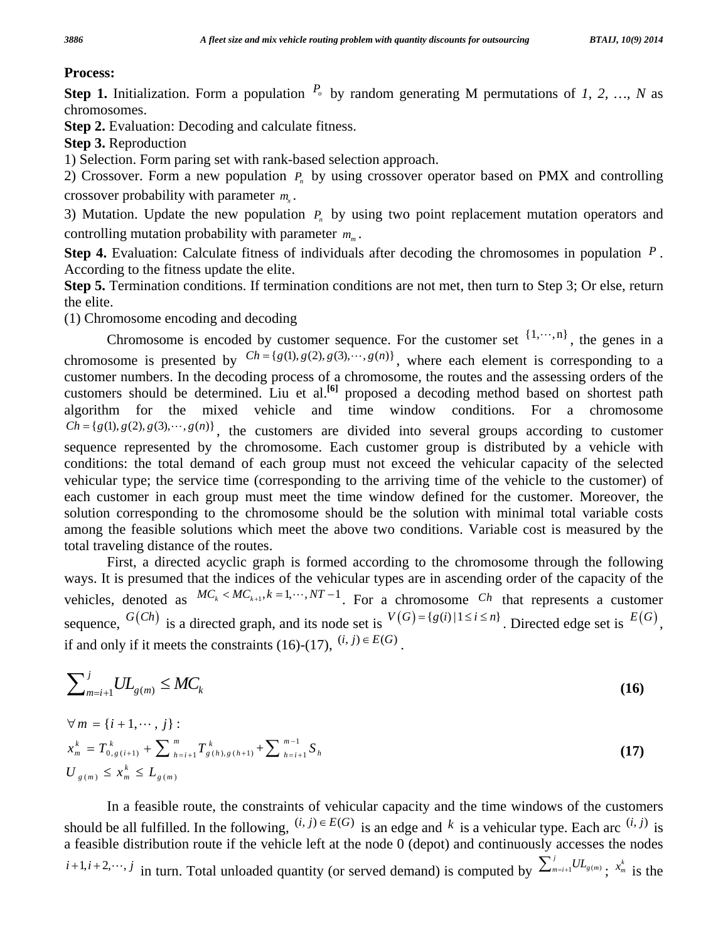## **Process:**

**Step 1.** Initialization. Form a population  $P_0$  by random generating M permutations of *1, 2, ..., N* as chromosomes.

**Step 2.** Evaluation: Decoding and calculate fitness.

**Step 3.** Reproduction

1) Selection. Form paring set with rank-based selection approach.

2) Crossover. Form a new population  $P_n$  by using crossover operator based on PMX and controlling crossover probability with parameter  $m_{\gamma}$ .

3) Mutation. Update the new population  $P<sub>n</sub>$  by using two point replacement mutation operators and controlling mutation probability with parameter  $m_m$ .

**Step 4.** Evaluation: Calculate fitness of individuals after decoding the chromosomes in population *P* . According to the fitness update the elite.

Step 5. Termination conditions. If termination conditions are not met, then turn to Step 3; Or else, return the elite.

(1) Chromosome encoding and decoding

Chromosome is encoded by customer sequence. For the customer set  $\{1, \dots, n\}$ , the genes in a chromosome is presented by  $Ch = {g(1), g(2), g(3), \cdots, g(n)}$ , where each element is corresponding to a customer numbers. In the decoding process of a chromosome, the routes and the assessing orders of the customers should be determined. Liu et al.**[6]** proposed a decoding method based on shortest path algorithm for the mixed vehicle and time window conditions. For a chromosome  $Ch = {g(1), g(2), g(3), \dots, g(n)}$ , the customers are divided into several groups according to customer sequence represented by the chromosome. Each customer group is distributed by a vehicle with conditions: the total demand of each group must not exceed the vehicular capacity of the selected vehicular type; the service time (corresponding to the arriving time of the vehicle to the customer) of each customer in each group must meet the time window defined for the customer. Moreover, the solution corresponding to the chromosome should be the solution with minimal total variable costs among the feasible solutions which meet the above two conditions. Variable cost is measured by the total traveling distance of the routes.

 First, a directed acyclic graph is formed according to the chromosome through the following ways. It is presumed that the indices of the vehicular types are in ascending order of the capacity of the vehicles, denoted as  $MC_k < MC_{k+1}, k = 1, \dots, NT-1$ . For a chromosome *Ch* that represents a customer sequence,  $G(Ch)$  is a directed graph, and its node set is  $V(G) = \{g(i) | 1 \le i \le n\}$ . Directed edge set is  $E(G)$ , if and only if it meets the constraints (16)-(17),  $(i, j) \in E(G)$ .

$$
\sum_{m=i+1}^{j} UL_{g(m)} \leq MC_k \tag{16}
$$

$$
\forall m = \{i+1,\dots, j\} : \n x_m^k = T_{0,g(i+1)}^k + \sum_{h=i+1}^m T_{g(h),g(h+1)}^k + \sum_{h=i+1}^{m-1} S_h \n U_{g(m)} \le x_m^k \le L_{g(m)}
$$
\n(17)

 In a feasible route, the constraints of vehicular capacity and the time windows of the customers should be all fulfilled. In the following,  $(i, j) \in E(G)$  is an edge and k is a vehicular type. Each arc  $(i, j)$  is a feasible distribution route if the vehicle left at the node  $\overrightarrow{0}$  (depot) and continuously accesses the nodes *i*+1,*i*+2,…,*j* in turn. Total unloaded quantity (or served demand) is computed by  $\sum_{m=i+1}^{j} UL_{g(m)}$ ;  $x_m^k$  is the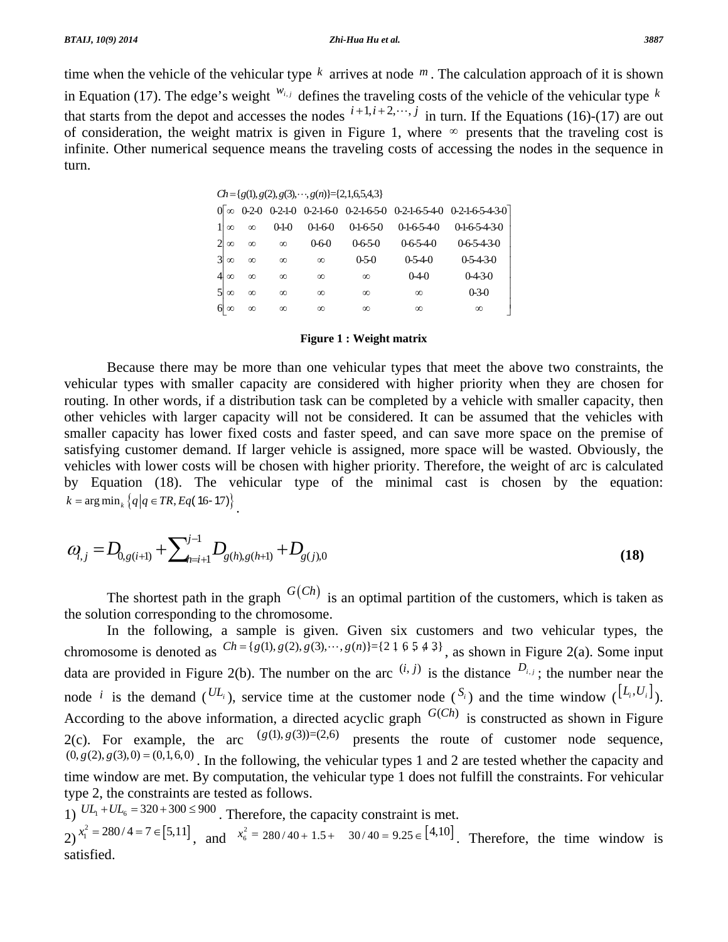time when the vehicle of the vehicular type *k* arrives at node *m* . The calculation approach of it is shown in Equation (17). The edge's weight  $^{w_{i,j}}$  defines the traveling costs of the vehicle of the vehicular type  $^k$ that starts from the depot and accesses the nodes  $i+1, i+2, \dots, j$  in turn. If the Equations (16)-(17) are out of consideration, the weight matrix is given in Figure 1, where  $\infty$  presents that the traveling cost is infinite. Other numerical sequence means the traveling costs of accessing the nodes in the sequence in turn.

|                |           |          |             |             | $Ch = \{g(1), g(2), g(3), \dots, g(n)\} = \{2, 1, 6, 5, 4, 3\}$ |                  |                 |
|----------------|-----------|----------|-------------|-------------|-----------------------------------------------------------------|------------------|-----------------|
|                |           |          |             |             |                                                                 |                  |                 |
|                | $\infty$  | $\infty$ | $0 - 1 - 0$ | 0-1-6-0     | $0-1-6-5-0$                                                     | $0-1-6-5-4-0$    | 0-1-6-5-4-3-0   |
| $\overline{2}$ | $\infty$  | $\infty$ | $\infty$    | $0 - 6 - 0$ | $0 - 6 - 5 - 0$                                                 | $0 - 6 - 5 - 40$ | $0.65 - 4.30$   |
| $\mathcal{E}$  | $\infty$  | $\infty$ | $\infty$    | $\infty$    | $0 - 5 - 0$                                                     | $0.5 - 4 - 0$    | $0.5 - 4.3 - 0$ |
|                | $\infty$  | $\infty$ | $\infty$    | $\infty$    | $\infty$                                                        | $0-4-0$          | $0-4-3-0$       |
|                | $\infty$  | $\infty$ | $\infty$    | $\infty$    | $\infty$                                                        | $\infty$         | $0 - 3 - 0$     |
|                | $6\infty$ | $\infty$ | $\infty$    | $\infty$    | $\infty$                                                        | $\infty$         | $\infty$        |

#### **Figure 1 : Weight matrix**

 Because there may be more than one vehicular types that meet the above two constraints, the vehicular types with smaller capacity are considered with higher priority when they are chosen for routing. In other words, if a distribution task can be completed by a vehicle with smaller capacity, then other vehicles with larger capacity will not be considered. It can be assumed that the vehicles with smaller capacity has lower fixed costs and faster speed, and can save more space on the premise of satisfying customer demand. If larger vehicle is assigned, more space will be wasted. Obviously, the vehicles with lower costs will be chosen with higher priority. Therefore, the weight of arc is calculated by Equation (18). The vehicular type of the minimal cast is chosen by the equation:  $k = \arg \min_k \left\{ q \, | q \in TR, Eq(16-17) \right\}.$ 

$$
a_{i,j} = D_{0,g(i+1)} + \sum_{h=i+1}^{j-1} D_{g(h),g(h+1)} + D_{g(j),0}
$$
\n(18)

The shortest path in the graph  $G(Ch)$  is an optimal partition of the customers, which is taken as the solution corresponding to the chromosome.

 In the following, a sample is given. Given six customers and two vehicular types, the chromosome is denoted as  $Ch = \{g(1), g(2), g(3), \dots, g(n)\} = \{2 \mid 6 \leq 4 \leq 3\}$ , as shown in Figure 2(a). Some input data are provided in Figure 2(b). The number on the arc  $(i, j)$  is the distance  $D_{i,j}$ ; the number near the node *i* is the demand  $(UL_i)$ , service time at the customer node  $(S_i)$  and the time window  $([L_i, U_i])$ . According to the above information, a directed acyclic graph  $G(Ch)$  is constructed as shown in Figure 2(c). For example, the arc  $(g(1), g(3))=(2,6)$  presents the route of customer node sequence,  $(0, g(2), g(3),0) = (0,1,6,0)$ . In the following, the vehicular types 1 and 2 are tested whether the capacity and time window are met. By computation, the vehicular type 1 does not fulfill the constraints. For vehicular type 2, the constraints are tested as follows.

1)  $UL_1 + UL_6 = 320 + 300 \le 900$ . Therefore, the capacity constraint is met.

 $2)$   $x_1^2 = 280/4 = 7 \in [5, 11]$ , and  $x_6^2 = 280/40 + 1.5 + 30/40 = 9.25 \in [4, 10]$ . Therefore, the time window is satisfied.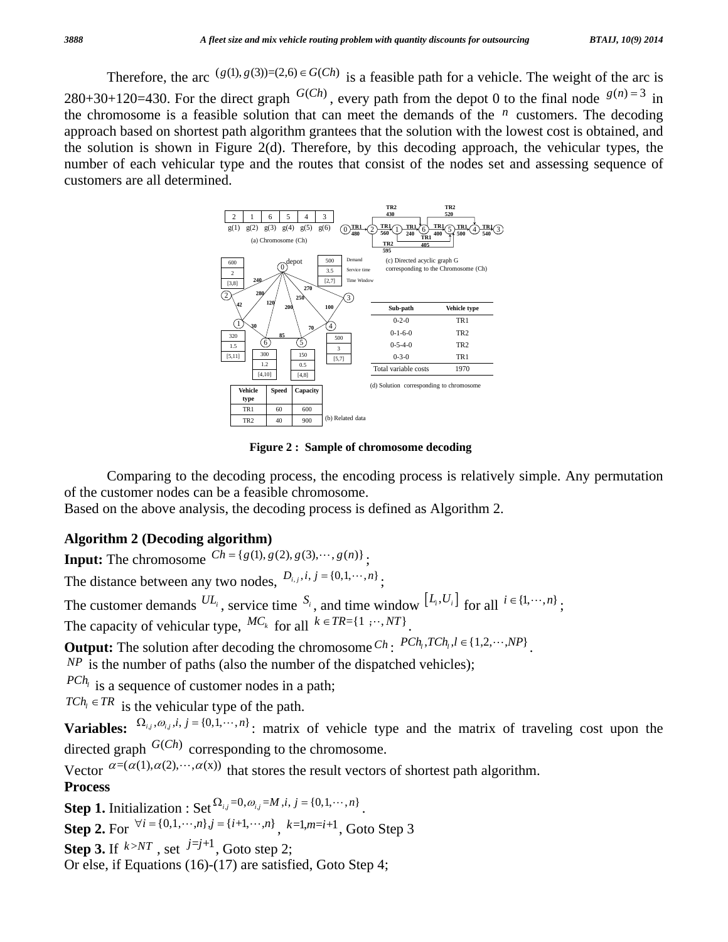Therefore, the arc  $(g(1), g(3))=(2,6) \in G(Ch)$  is a feasible path for a vehicle. The weight of the arc is 280+30+120=430. For the direct graph  $G(Ch)$ , every path from the depot 0 to the final node  $g(n) = 3$  in the chromosome is a feasible solution that can meet the demands of the  $n$  customers. The decoding approach based on shortest path algorithm grantees that the solution with the lowest cost is obtained, and the solution is shown in Figure  $2(d)$ . Therefore, by this decoding approach, the vehicular types, the number of each vehicular type and the routes that consist of the nodes set and assessing sequence of customers are all determined.



**Figure 2 : Sample of chromosome decoding** 

 Comparing to the decoding process, the encoding process is relatively simple. Any permutation of the customer nodes can be a feasible chromosome.

Based on the above analysis, the decoding process is defined as Algorithm 2.

# **Algorithm 2 (Decoding algorithm)**

**Input:** The chromosome  $Ch = \{g(1), g(2), g(3), \dots, g(n)\}$ .

The distance between any two nodes,  $D_{i,j}, i, j = \{0,1, \cdots, n\}$ .

The customer demands  $^{UL_i}$ , service time  $^{S_i}$ , and time window  $^{[L_i, U_i]}$  for all  $^{i \in \{1, \dots, n\}}$ ; The capacity of vehicular type,  ${}^{MC_k}$  for all  $k \in TR = \{1, \dots, NT\}$ 

**Output:** The solution after decoding the chromosome  $Ch$  :  $PCh$ <sub>1</sub>,  $TCh$ <sub>1</sub>,  $l \in \{1,2,\dots, NP\}$ .

 $NP$  is the number of paths (also the number of the dispatched vehicles);

 $PCh_i$  is a sequence of customer nodes in a path;

 $TCh_i \in TR$  is the vehicular type of the path.

**Variables:**  $\Omega_{i,j}, \omega_{i,j}, i, j = \{0,1,\dots,n\}$ ; matrix of vehicle type and the matrix of traveling cost upon the directed graph  $G(Ch)$  corresponding to the chromosome.

Vector  $\alpha = (\alpha(1), \alpha(2), \dots, \alpha(x))$  that stores the result vectors of shortest path algorithm. **Process**

**Step 1.** Initialization : Set  $\Omega_{i,j} = 0, \omega_{i,j} = M, i, j = \{0,1,\dots,n\}$ 

**Step 2.** For  $\forall i = \{0, 1, \dots, n\}$ ,  $j = \{i+1, \dots, n\}$ ,  $k=1, m=i+1$ , Goto Step 3

**Step 3.** If  $k > NT$ , set  $j=j+1$ , Goto step 2;

Or else, if Equations (16)-(17) are satisfied, Goto Step 4;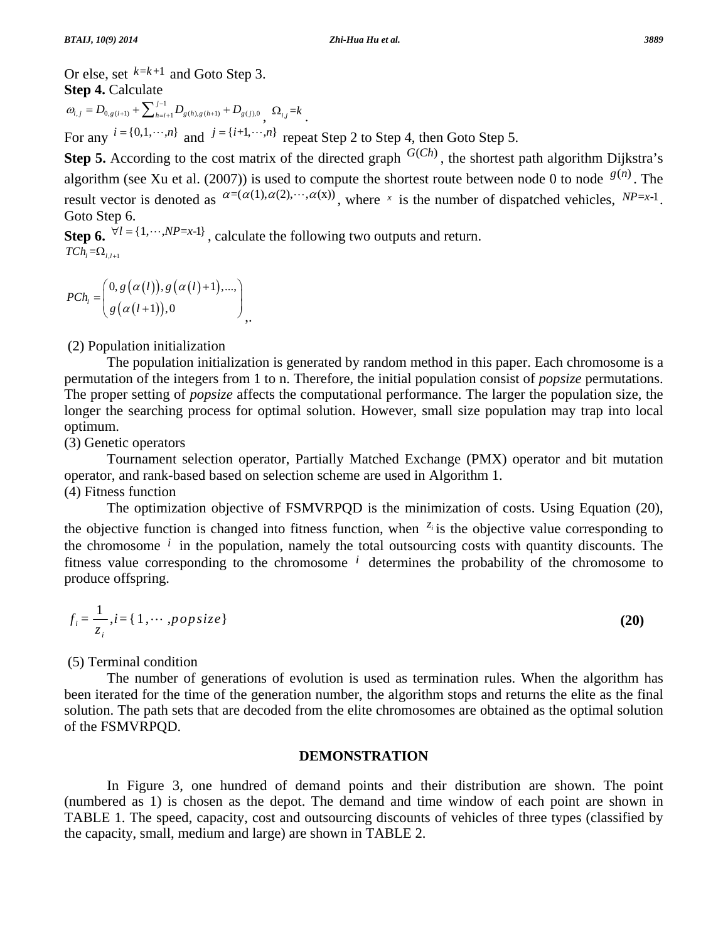Or else, set  $k=k+1$  and Goto Step 3. **Step 4. Calculate**  $\mathcal{L}_{0,g(i+1)}$   $\mathcal{L}_{h=i+1}$   $\mathcal{L}_{g(h),g(h+1)}$   $\mathcal{L}_{g(j),0}$  $\omega_{i,j} = D_{0,g(i+1)} + \sum_{h=i+1}^{j-1} D_{g(h),g(h+1)} + D_{g(j),0} \sum_{j} \Omega_{ij} = k$ .

For any  $i = \{0, 1, \dots, n\}$  and  $j = \{i+1, \dots, n\}$  repeat Step 2 to Step 4, then Goto Step 5.

**Step 5.** According to the cost matrix of the directed graph  $G(Ch)$ , the shortest path algorithm Dijkstra's algorithm (see Xu et al. (2007)) is used to compute the shortest route between node 0 to node  $g(n)$ . The result vector is denoted as  $a=(\alpha(1), \alpha(2), \cdots, \alpha(x))$ , where *x* is the number of dispatched vehicles,  $NP=x-1$ . Goto Step 6.

**Step 6.**  $\forall l = \{1, \cdots, NP = x-1\}$ , calculate the following two outputs and return.  $TCh_{i} = \Omega_{i,i+1}$ 

$$
PCh_{l} = \left(\begin{array}{c}0, g(\alpha(l)), g(\alpha(l)+1),..., \\g(\alpha(l+1)), 0\end{array}\right),
$$

(2) Population initialization

 The population initialization is generated by random method in this paper. Each chromosome is a permutation of the integers from 1 to n. Therefore, the initial population consist of *popsize* permutations. The proper setting of *popsize* affects the computational performance. The larger the population size, the longer the searching process for optimal solution. However, small size population may trap into local optimum.

(3) Genetic operators

 Tournament selection operator, Partially Matched Exchange (PMX) operator and bit mutation operator, and rank-based based on selection scheme are used in Algorithm 1.

(4) Fitness function

 The optimization objective of FSMVRPQD is the minimization of costs. Using Equation (20), the objective function is changed into fitness function, when  $z_i$  is the objective value corresponding to the chromosome *i* in the population, namely the total outsourcing costs with quantity discounts. The fitness value corresponding to the chromosome *i* determines the probability of the chromosome to produce offspring.

$$
f_i = \frac{1}{z_i}, i = \{1, \cdots, \text{pop size}\}\
$$

(5) Terminal condition

 The number of generations of evolution is used as termination rules. When the algorithm has been iterated for the time of the generation number, the algorithm stops and returns the elite as the final solution. The path sets that are decoded from the elite chromosomes are obtained as the optimal solution of the FSMVRPQD.

### **DEMONSTRATION**

 In Figure 3, one hundred of demand points and their distribution are shown. The point (numbered as 1) is chosen as the depot. The demand and time window of each point are shown in TABLE 1. The speed, capacity, cost and outsourcing discounts of vehicles of three types (classified by the capacity, small, medium and large) are shown in TABLE 2.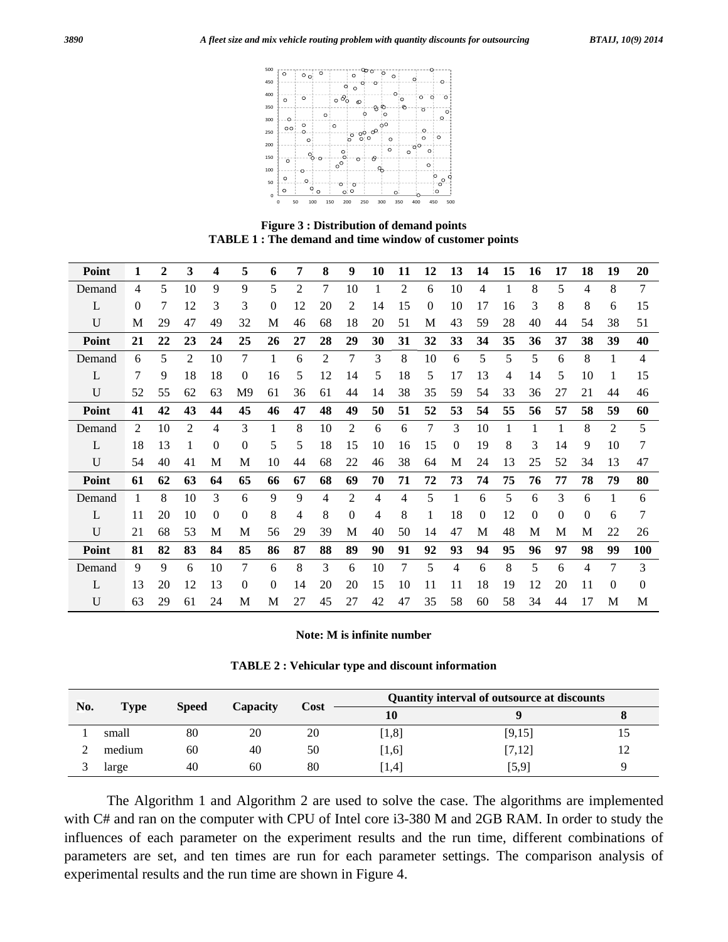

**Figure 3 : Distribution of demand points TABLE 1 : The demand and time window of customer points** 

| Point        | 1  | $\overline{2}$ | 3              | 4        | 5                | 6  | 7  | 8  | 9        | 10 | 11             | 12           | 13 | 14       | 15 | 16       | 17       | 18       | 19             | 20       |
|--------------|----|----------------|----------------|----------|------------------|----|----|----|----------|----|----------------|--------------|----|----------|----|----------|----------|----------|----------------|----------|
| Demand       | 4  | 5              | 10             | 9        | 9                | 5  | 2  | 7  | 10       |    | $\overline{2}$ | 6            | 10 | 4        |    | 8        | 5        | 4        | 8              | 7        |
| L            | 0  | 7              | 12             | 3        | 3                | 0  | 12 | 20 | 2        | 14 | 15             | $\mathbf{0}$ | 10 | 17       | 16 | 3        | 8        | 8        | 6              | 15       |
| U            | M  | 29             | 47             | 49       | 32               | M  | 46 | 68 | 18       | 20 | 51             | М            | 43 | 59       | 28 | 40       | 44       | 54       | 38             | 51       |
| Point        | 21 | 22             | 23             | 24       | 25               | 26 | 27 | 28 | 29       | 30 | 31             | 32           | 33 | 34       | 35 | 36       | 37       | 38       | 39             | 40       |
| Demand       | 6  | 5              | $\overline{2}$ | 10       | 7                |    | 6  | 2  | 7        | 3  | 8              | 10           | 6  | 5        | 5  | 5        | 6        | 8        |                | 4        |
| L            | 7  | 9              | 18             | 18       | $\theta$         | 16 | 5  | 12 | 14       | 5  | 18             | 5            | 17 | 13       | 4  | 14       | 5        | 10       |                | 15       |
| U            | 52 | 55             | 62             | 63       | M <sub>9</sub>   | 61 | 36 | 61 | 44       | 14 | 38             | 35           | 59 | 54       | 33 | 36       | 27       | 21       | 44             | 46       |
| Point        | 41 | 42             | 43             | 44       | 45               | 46 | 47 | 48 | 49       | 50 | 51             | 52           | 53 | 54       | 55 | 56       | 57       | 58       | 59             | 60       |
| Demand       | 2  | 10             | $\overline{2}$ | 4        | 3                | 1  | 8  | 10 | 2        | 6  | 6              | 7            | 3  | 10       | 1  |          | 1        | 8        | $\overline{c}$ | 5        |
| L            | 18 | 13             | 1              | $\theta$ | $\boldsymbol{0}$ | 5  | 5  | 18 | 15       | 10 | 16             | 15           | 0  | 19       | 8  | 3        | 14       | 9        | 10             | 7        |
| $\mathbf{U}$ | 54 | 40             | 41             | М        | M                | 10 | 44 | 68 | 22       | 46 | 38             | 64           | М  | 24       | 13 | 25       | 52       | 34       | 13             | 47       |
| Point        | 61 | 62             | 63             | 64       | 65               | 66 | 67 | 68 | 69       | 70 | 71             | 72           | 73 | 74       | 75 | 76       | 77       | 78       | 79             | 80       |
| Demand       | 1  | 8              | 10             | 3        | 6                | 9  | 9  | 4  | 2        | 4  | 4              | 5            |    | 6        | 5  | 6        | 3        | 6        |                | 6        |
| L            | 11 | 20             | 10             | $\Omega$ | $\overline{0}$   | 8  | 4  | 8  | $\theta$ | 4  | 8              | 1            | 18 | $\theta$ | 12 | $\theta$ | $\theta$ | $\theta$ | 6              | 7        |
| U            | 21 | 68             | 53             | М        | M                | 56 | 29 | 39 | М        | 40 | 50             | 14           | 47 | М        | 48 | М        | М        | M        | 22             | 26       |
| Point        | 81 | 82             | 83             | 84       | 85               | 86 | 87 | 88 | 89       | 90 | 91             | 92           | 93 | 94       | 95 | 96       | 97       | 98       | 99             | 100      |
| Demand       | 9  | 9              | 6              | 10       | 7                | 6  | 8  | 3  | 6        | 10 | 7              | 5            | 4  | 6        | 8  | 5        | 6        | 4        | 7              | 3        |
| L            | 13 | 20             | 12             | 13       | $\theta$         | 0  | 14 | 20 | 20       | 15 | 10             | 11           | 11 | 18       | 19 | 12       | 20       | 11       | 0              | $\theta$ |
| U            | 63 | 29             | 61             | 24       | М                | M  | 27 | 45 | 27       | 42 | 47             | 35           | 58 | 60       | 58 | 34       | 44       | 17       | М              | M        |

#### **Note: M is infinite number**

|  |  |  |  |  |  | <b>TABLE 2: Vehicular type and discount information</b> |
|--|--|--|--|--|--|---------------------------------------------------------|
|--|--|--|--|--|--|---------------------------------------------------------|

| No. | Type   | <b>Speed</b> | Capacity | Cost | Quantity interval of outsource at discounts |         |    |  |  |
|-----|--------|--------------|----------|------|---------------------------------------------|---------|----|--|--|
|     |        |              |          |      | 10                                          |         |    |  |  |
|     | small  | 80           | 20       | 20   | [1,8]                                       | [9, 15] | 10 |  |  |
|     | medium | 60           | 40       | 50   | $[1,6]$                                     | [7,12]  | 12 |  |  |
|     | large  | 40           | 60       | 80   | $\left\lceil 1.4 \right\rceil$              | [5,9]   |    |  |  |

 The Algorithm 1 and Algorithm 2 are used to solve the case. The algorithms are implemented with C# and ran on the computer with CPU of Intel core i3-380 M and 2GB RAM. In order to study the influences of each parameter on the experiment results and the run time, different combinations of parameters are set, and ten times are run for each parameter settings. The comparison analysis of experimental results and the run time are shown in Figure 4.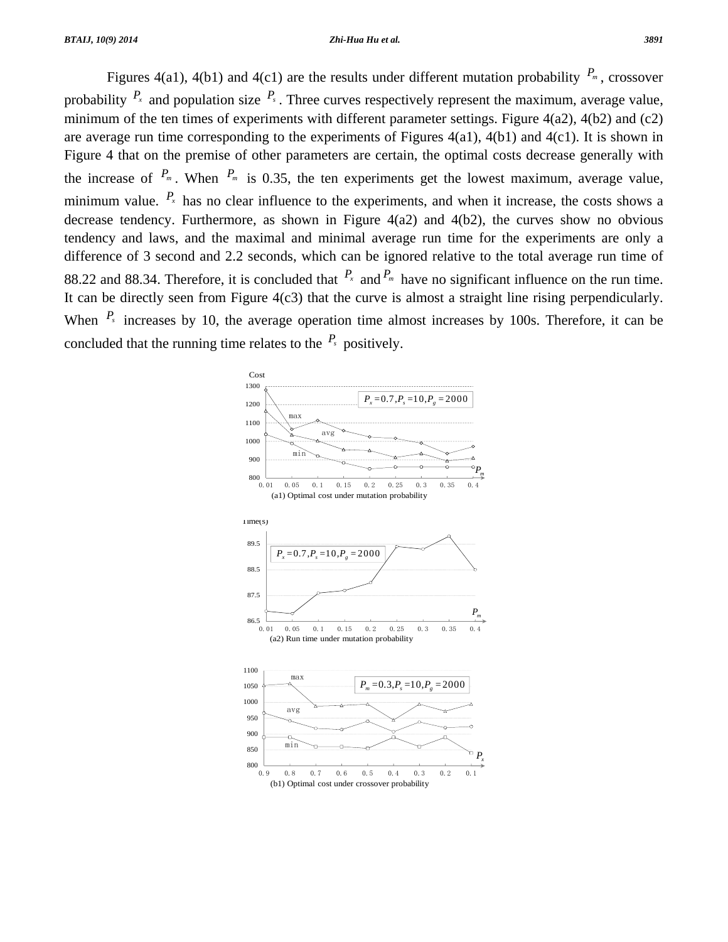Figures 4(a1), 4(b1) and 4(c1) are the results under different mutation probability  $P_m$ , crossover probability  $P_x$  and population size  $P_s$ . Three curves respectively represent the maximum, average value, minimum of the ten times of experiments with different parameter settings. Figure  $4(a2)$ ,  $4(b2)$  and (c2) are average run time corresponding to the experiments of Figures 4(a1), 4(b1) and 4(c1). It is shown in Figure 4 that on the premise of other parameters are certain, the optimal costs decrease generally with the increase of  $P_m$ . When  $P_m$  is 0.35, the ten experiments get the lowest maximum, average value, minimum value.  $P_x$  has no clear influence to the experiments, and when it increase, the costs shows a decrease tendency. Furthermore, as shown in Figure 4(a2) and 4(b2), the curves show no obvious tendency and laws, and the maximal and minimal average run time for the experiments are only a difference of 3 second and 2.2 seconds, which can be ignored relative to the total average run time of 88.22 and 88.34. Therefore, it is concluded that  $P_x$  and  $P_m$  have no significant influence on the run time. It can be directly seen from Figure  $4(c3)$  that the curve is almost a straight line rising perpendicularly. When  $P_s$  increases by 10, the average operation time almost increases by 100s. Therefore, it can be concluded that the running time relates to the  $P_s$  positively.

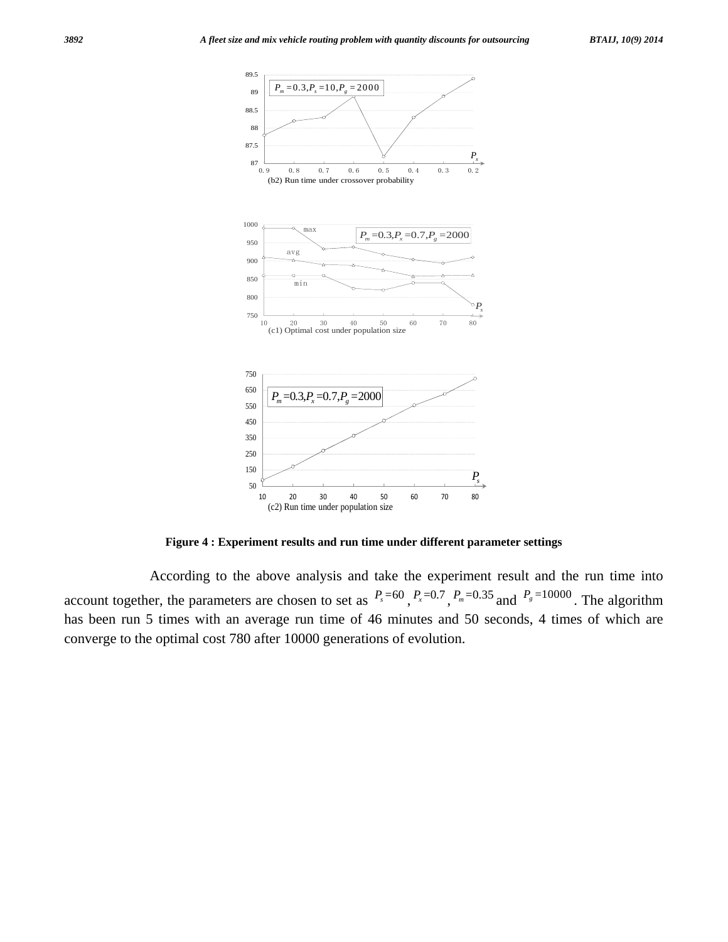

**Figure 4 : Experiment results and run time under different parameter settings** 

 According to the above analysis and take the experiment result and the run time into account together, the parameters are chosen to set as  $P_s = 60$ ,  $P_x = 0.7$ ,  $P_m = 0.35$  and  $P_s = 10000$ . The algorithm has been run 5 times with an average run time of 46 minutes and 50 seconds, 4 times of which are converge to the optimal cost 780 after 10000 generations of evolution.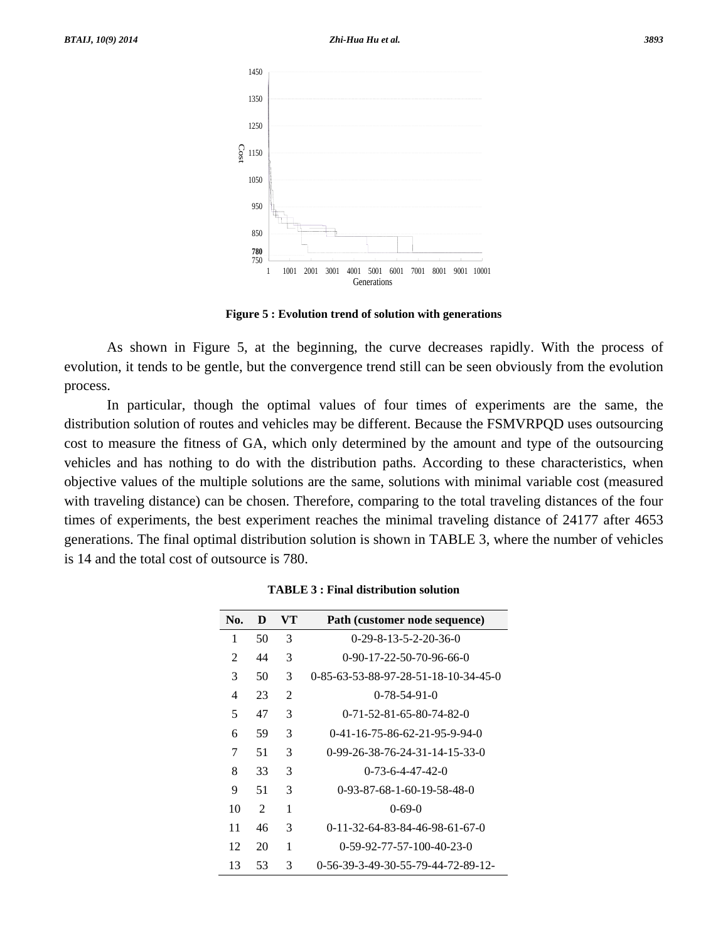

**Figure 5 : Evolution trend of solution with generations** 

 As shown in Figure 5, at the beginning, the curve decreases rapidly. With the process of evolution, it tends to be gentle, but the convergence trend still can be seen obviously from the evolution process.

 In particular, though the optimal values of four times of experiments are the same, the distribution solution of routes and vehicles may be different. Because the FSMVRPQD uses outsourcing cost to measure the fitness of GA, which only determined by the amount and type of the outsourcing vehicles and has nothing to do with the distribution paths. According to these characteristics, when objective values of the multiple solutions are the same, solutions with minimal variable cost (measured with traveling distance) can be chosen. Therefore, comparing to the total traveling distances of the four times of experiments, the best experiment reaches the minimal traveling distance of 24177 after 4653 generations. The final optimal distribution solution is shown in TABLE 3, where the number of vehicles is 14 and the total cost of outsource is 780.

| No. | D              | VТ | Path (customer node sequence)              |
|-----|----------------|----|--------------------------------------------|
| 1   | 50             | 3  | $0-29-8-13-5-2-20-36-0$                    |
| 2   | 44             | 3  | $0-90-17-22-50-70-96-66-0$                 |
| 3   | 50             | 3  | 0-85-63-53-88-97-28-51-18-10-34-45-0       |
| 4   | 23             | 2  | $0 - 78 - 54 - 91 - 0$                     |
| 5   | 47             | 3  | $0 - 71 - 52 - 81 - 65 - 80 - 74 - 82 - 0$ |
| 6   | 59             | 3  | $0-41-16-75-86-62-21-95-9-94-0$            |
| 7   | 51             | 3  | $0-99-26-38-76-24-31-14-15-33-0$           |
| 8   | 33             | 3  | $0 - 73 - 6 - 4 - 47 - 42 - 0$             |
| 9   | 51             | 3  | $0-93-87-68-1-60-19-58-48-0$               |
| 10  | $\mathfrak{D}$ | 1  | $0-69-0$                                   |
| 11  | 46             | 3  | $0-11-32-64-83-84-46-98-61-67-0$           |
| 12  | 20             | 1  | $0-59-92-77-57-100-40-23-0$                |
| 13  | 53             | 3  | 0-56-39-3-49-30-55-79-44-72-89-12-         |

**TABLE 3 : Final distribution solution**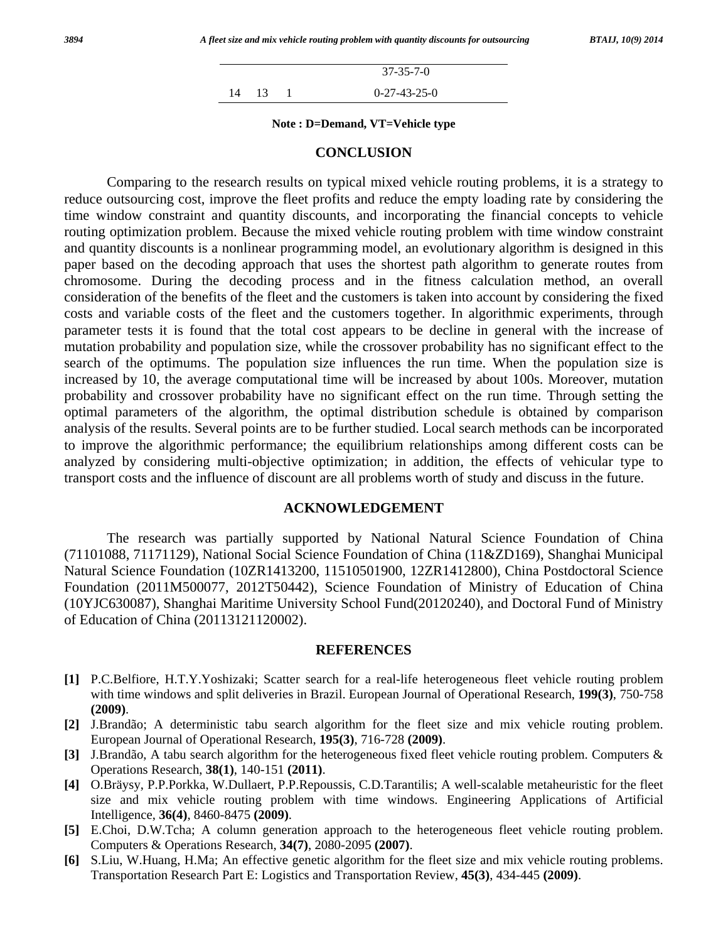|       | $37 - 35 - 7 - 0$ |
|-------|-------------------|
| 14 13 | $0-27-43-25-0$    |

**Note : D=Demand, VT=Vehicle type** 

#### **CONCLUSION**

 Comparing to the research results on typical mixed vehicle routing problems, it is a strategy to reduce outsourcing cost, improve the fleet profits and reduce the empty loading rate by considering the time window constraint and quantity discounts, and incorporating the financial concepts to vehicle routing optimization problem. Because the mixed vehicle routing problem with time window constraint and quantity discounts is a nonlinear programming model, an evolutionary algorithm is designed in this paper based on the decoding approach that uses the shortest path algorithm to generate routes from chromosome. During the decoding process and in the fitness calculation method, an overall consideration of the benefits of the fleet and the customers is taken into account by considering the fixed costs and variable costs of the fleet and the customers together. In algorithmic experiments, through parameter tests it is found that the total cost appears to be decline in general with the increase of mutation probability and population size, while the crossover probability has no significant effect to the search of the optimums. The population size influences the run time. When the population size is increased by 10, the average computational time will be increased by about 100s. Moreover, mutation probability and crossover probability have no significant effect on the run time. Through setting the optimal parameters of the algorithm, the optimal distribution schedule is obtained by comparison analysis of the results. Several points are to be further studied. Local search methods can be incorporated to improve the algorithmic performance; the equilibrium relationships among different costs can be analyzed by considering multi-objective optimization; in addition, the effects of vehicular type to transport costs and the influence of discount are all problems worth of study and discuss in the future.

#### **ACKNOWLEDGEMENT**

 The research was partially supported by National Natural Science Foundation of China (71101088, 71171129), National Social Science Foundation of China (11&ZD169), Shanghai Municipal Natural Science Foundation (10ZR1413200, 11510501900, 12ZR1412800), China Postdoctoral Science Foundation (2011M500077, 2012T50442), Science Foundation of Ministry of Education of China (10YJC630087), Shanghai Maritime University School Fund(20120240), and Doctoral Fund of Ministry of Education of China (20113121120002).

#### **REFERENCES**

- **[1]** P.C.Belfiore, H.T.Y.Yoshizaki; Scatter search for a real-life heterogeneous fleet vehicle routing problem with time windows and split deliveries in Brazil. European Journal of Operational Research, **199(3)**, 750-758 **(2009)**.
- **[2]** J.Brandão; A deterministic tabu search algorithm for the fleet size and mix vehicle routing problem. European Journal of Operational Research, **195(3)**, 716-728 **(2009)**.
- **[3]** J.Brandão, A tabu search algorithm for the heterogeneous fixed fleet vehicle routing problem. Computers & Operations Research, **38(1)**, 140-151 **(2011)**.
- **[4]** O.Bräysy, P.P.Porkka, W.Dullaert, P.P.Repoussis, C.D.Tarantilis; A well-scalable metaheuristic for the fleet size and mix vehicle routing problem with time windows. Engineering Applications of Artificial Intelligence, **36(4)**, 8460-8475 **(2009)**.
- **[5]** E.Choi, D.W.Tcha; A column generation approach to the heterogeneous fleet vehicle routing problem. Computers & Operations Research, **34(7)**, 2080-2095 **(2007)**.
- **[6]** S.Liu, W.Huang, H.Ma; An effective genetic algorithm for the fleet size and mix vehicle routing problems. Transportation Research Part E: Logistics and Transportation Review, **45(3)**, 434-445 **(2009)**.